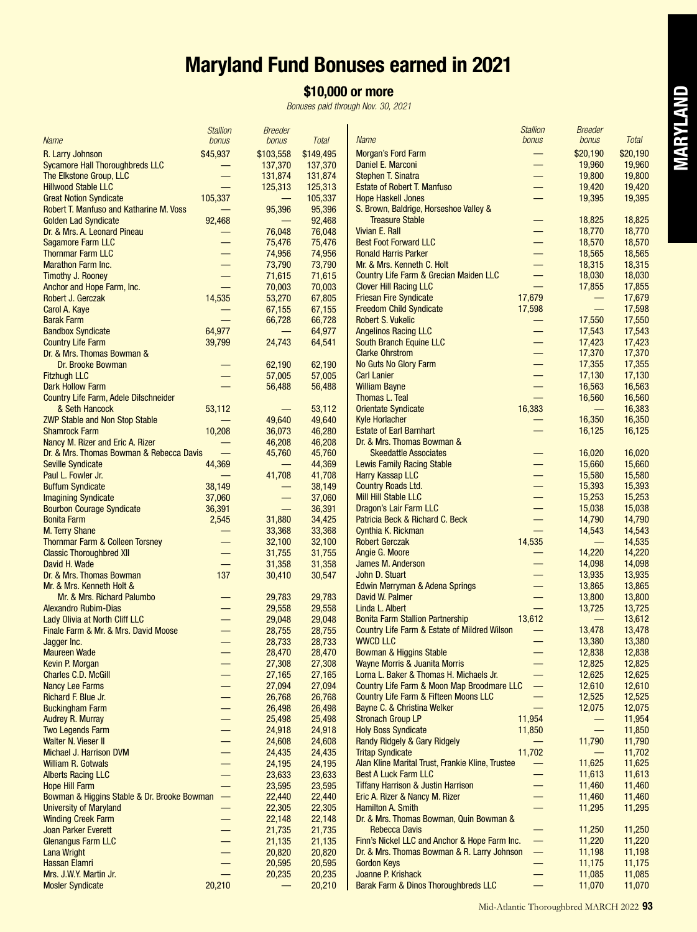# **Maryland Fund Bonuses earned in 2021**

## **\$10,000 or more**

*Bonuses paid through Nov. 30, 2021*

|                                                                               | <b>Stallion</b>          | <b>Breeder</b>     |                    | <b>Name</b>                                                                     | <b>Stallion</b><br>bonus           | <b>Breeder</b>                     | <b>Total</b>     |
|-------------------------------------------------------------------------------|--------------------------|--------------------|--------------------|---------------------------------------------------------------------------------|------------------------------------|------------------------------------|------------------|
| <b>Name</b>                                                                   | bonus                    | bonus              | <b>Total</b>       |                                                                                 |                                    | bonus                              |                  |
| R. Larry Johnson<br><b>Sycamore Hall Thoroughbreds LLC</b>                    | \$45,937                 | \$103,558          | \$149,495          | <b>Morgan's Ford Farm</b><br>Daniel E. Marconi                                  | —                                  | \$20,190                           | \$20,190         |
| The Elkstone Group, LLC                                                       | —                        | 137,370<br>131,874 | 137,370<br>131,874 | <b>Stephen T. Sinatra</b>                                                       | $\overline{\phantom{0}}$           | 19,960<br>19,800                   | 19,960<br>19,800 |
| <b>Hillwood Stable LLC</b>                                                    | $\overline{\phantom{0}}$ | 125,313            | 125,313            | <b>Estate of Robert T. Manfuso</b>                                              | —                                  | 19,420                             | 19,420           |
| <b>Great Notion Syndicate</b>                                                 | 105,337                  | —                  | 105,337            | <b>Hope Haskell Jones</b>                                                       | —                                  | 19,395                             | 19,395           |
| <b>Robert T. Manfuso and Katharine M. Voss</b>                                | $\equiv$                 | 95,396             | 95,396             | S. Brown, Baldrige, Horseshoe Valley &                                          |                                    |                                    |                  |
| <b>Golden Lad Syndicate</b>                                                   | 92,468                   |                    | 92,468             | <b>Treasure Stable</b>                                                          |                                    | 18,825                             | 18,825           |
| Dr. & Mrs. A. Leonard Pineau                                                  |                          | 76,048             | 76,048             | Vivian E. Rall                                                                  | $\overline{\phantom{0}}$           | 18,770                             | 18,770           |
| <b>Sagamore Farm LLC</b>                                                      | $\equiv$                 | 75,476             | 75,476             | <b>Best Foot Forward LLC</b>                                                    | $\overline{\phantom{0}}$           | 18,570                             | 18,570           |
| <b>Thornmar Farm LLC</b>                                                      |                          | 74,956             | 74,956             | <b>Ronald Harris Parker</b>                                                     | $\equiv$                           | 18,565                             | 18,565           |
| <b>Marathon Farm Inc.</b>                                                     |                          | 73,790             | 73,790             | Mr. & Mrs. Kenneth C. Holt                                                      |                                    | 18,315                             | 18,315           |
| <b>Timothy J. Rooney</b>                                                      | —<br>$\equiv$            | 71,615             | 71,615             | Country Life Farm & Grecian Maiden LLC<br><b>Clover Hill Racing LLC</b>         |                                    | 18,030                             | 18,030           |
| Anchor and Hope Farm, Inc.<br>Robert J. Gerczak                               | 14,535                   | 70,003<br>53,270   | 70,003<br>67,805   | <b>Friesan Fire Syndicate</b>                                                   | 17,679                             | 17,855                             | 17,855<br>17,679 |
| Carol A. Kaye                                                                 |                          | 67,155             | 67,155             | <b>Freedom Child Syndicate</b>                                                  | 17,598                             |                                    | 17,598           |
| <b>Barak Farm</b>                                                             |                          | 66,728             | 66,728             | <b>Robert S. Vukelic</b>                                                        | —                                  | 17,550                             | 17,550           |
| <b>Bandbox Syndicate</b>                                                      | 64,977                   |                    | 64,977             | <b>Angelinos Racing LLC</b>                                                     |                                    | 17,543                             | 17,543           |
| <b>Country Life Farm</b>                                                      | 39,799                   | 24,743             | 64,541             | South Branch Equine LLC                                                         | —                                  | 17,423                             | 17,423           |
| Dr. & Mrs. Thomas Bowman &                                                    |                          |                    |                    | <b>Clarke Ohrstrom</b>                                                          | $\overline{\phantom{0}}$           | 17,370                             | 17,370           |
| Dr. Brooke Bowman                                                             |                          | 62,190             | 62,190             | No Guts No Glory Farm                                                           | —                                  | 17,355                             | 17,355           |
| <b>Fitzhugh LLC</b>                                                           |                          | 57,005             | 57,005             | <b>Carl Lanier</b>                                                              |                                    | 17,130                             | 17,130           |
| <b>Dark Hollow Farm</b>                                                       | $\equiv$                 | 56,488             | 56,488             | <b>William Bayne</b>                                                            |                                    | 16,563                             | 16,563           |
| Country Life Farm, Adele Dilschneider                                         |                          |                    |                    | Thomas L. Teal                                                                  | $\equiv$                           | 16,560                             | 16,560           |
| & Seth Hancock<br><b>ZWP Stable and Non Stop Stable</b>                       | 53,112                   | 49,640             | 53,112<br>49,640   | <b>Orientate Syndicate</b><br><b>Kyle Horlacher</b>                             | 16,383                             | $\overline{\phantom{m}}$<br>16,350 | 16,383<br>16,350 |
| <b>Shamrock Farm</b>                                                          | 10,208                   | 36,073             | 46,280             | <b>Estate of Earl Barnhart</b>                                                  |                                    | 16,125                             | 16,125           |
| Nancy M. Rizer and Eric A. Rizer                                              |                          | 46,208             | 46,208             | Dr. & Mrs. Thomas Bowman &                                                      |                                    |                                    |                  |
| Dr. & Mrs. Thomas Bowman & Rebecca Davis                                      | $\overline{\phantom{0}}$ | 45,760             | 45,760             | <b>Skeedattle Associates</b>                                                    |                                    | 16.020                             | 16,020           |
| <b>Seville Syndicate</b>                                                      | 44,369                   |                    | 44,369             | <b>Lewis Family Racing Stable</b>                                               | $\overline{\phantom{0}}$           | 15,660                             | 15,660           |
| Paul L. Fowler Jr.                                                            |                          | 41,708             | 41,708             | <b>Harry Kassap LLC</b>                                                         |                                    | 15,580                             | 15,580           |
| <b>Buffum Syndicate</b>                                                       | 38,149                   | —                  | 38,149             | <b>Country Roads Ltd.</b>                                                       |                                    | 15,393                             | 15,393           |
| <b>Imagining Syndicate</b>                                                    | 37,060                   |                    | 37,060             | <b>Mill Hill Stable LLC</b>                                                     | —                                  | 15,253                             | 15,253           |
| <b>Bourbon Courage Syndicate</b>                                              | 36,391                   |                    | 36,391             | Dragon's Lair Farm LLC                                                          | —                                  | 15,038                             | 15,038           |
| <b>Bonita Farm</b>                                                            | 2,545                    | 31,880             | 34,425             | Patricia Beck & Richard C. Beck                                                 | $\overline{\phantom{0}}$           | 14,790                             | 14,790           |
| <b>M. Terry Shane</b>                                                         |                          | 33,368             | 33,368             | Cynthia K. Rickman<br><b>Robert Gerczak</b>                                     | $\overline{\phantom{0}}$<br>14,535 | 14,543                             | 14,543<br>14,535 |
| <b>Thornmar Farm &amp; Colleen Torsney</b><br><b>Classic Thoroughbred XII</b> | $\overline{\phantom{0}}$ | 32,100<br>31,755   | 32,100<br>31,755   | Angie G. Moore                                                                  |                                    | 14,220                             | 14,220           |
| David H. Wade                                                                 | $\equiv$                 | 31,358             | 31,358             | James M. Anderson                                                               | $\overline{\phantom{0}}$           | 14,098                             | 14,098           |
| Dr. & Mrs. Thomas Bowman                                                      | 137                      | 30,410             | 30,547             | John D. Stuart                                                                  | $\overline{\phantom{0}}$           | 13,935                             | 13,935           |
| Mr. & Mrs. Kenneth Holt &                                                     |                          |                    |                    | Edwin Merryman & Adena Springs                                                  | —                                  | 13,865                             | 13,865           |
| Mr. & Mrs. Richard Palumbo                                                    |                          | 29.783             | 29,783             | David W. Palmer                                                                 |                                    | 13,800                             | 13,800           |
| <b>Alexandro Rubim-Dias</b>                                                   |                          | 29,558             | 29,558             | Linda L. Albert                                                                 | $\equiv$                           | 13,725                             | 13,725           |
| Lady Olivia at North Cliff LLC                                                | —                        | 29,048             | 29,048             | <b>Bonita Farm Stallion Partnership</b>                                         | 13,612                             |                                    | 13,612           |
| Finale Farm & Mr. & Mrs. David Moose                                          | —                        | 28,755             | 28,755             | Country Life Farm & Estate of Mildred Wilson                                    | —                                  | 13,478                             | 13,478           |
| Jagger Inc.                                                                   |                          | 28,733             | 28,733             | <b>WWCD LLC</b>                                                                 |                                    | 13,380<br>12,838                   | 13,380<br>12,838 |
| <b>Maureen Wade</b><br>Kevin P. Morgan                                        |                          | 28,470<br>27,308   | 28,470<br>27,308   | <b>Bowman &amp; Higgins Stable</b><br><b>Wayne Morris &amp; Juanita Morris</b>  |                                    | 12,825                             | 12,825           |
| <b>Charles C.D. McGill</b>                                                    |                          | 27,165             | 27,165             | Lorna L. Baker & Thomas H. Michaels Jr.                                         | $\overline{\phantom{0}}$           | 12,625                             | 12,625           |
| <b>Nancy Lee Farms</b>                                                        |                          | 27,094             | 27,094             | Country Life Farm & Moon Map Broodmare LLC                                      | $\overline{\phantom{0}}$           | 12,610                             | 12,610           |
| Richard F. Blue Jr.                                                           |                          | 26,768             | 26,768             | Country Life Farm & Fifteen Moons LLC                                           | $\overline{\phantom{0}}$           | 12,525                             | 12,525           |
| <b>Buckingham Farm</b>                                                        | —                        | 26,498             | 26,498             | Bayne C. & Christina Welker                                                     |                                    | 12,075                             | 12,075           |
| <b>Audrey R. Murray</b>                                                       | —                        | 25,498             | 25,498             | <b>Stronach Group LP</b>                                                        | 11,954                             | —                                  | 11,954           |
| <b>Two Legends Farm</b>                                                       | —                        | 24,918             | 24,918             | <b>Holy Boss Syndicate</b>                                                      | 11,850                             | $\overline{\phantom{0}}$           | 11,850           |
| Walter N. Vieser II                                                           | —                        | 24,608             | 24,608             | Randy Ridgely & Gary Ridgely                                                    | —                                  | 11,790                             | 11,790           |
| Michael J. Harrison DVM                                                       | $\overline{\phantom{0}}$ | 24,435             | 24,435             | <b>Tritap Syndicate</b>                                                         | 11,702                             | $\qquad \qquad -$                  | 11,702           |
| <b>William R. Gotwals</b><br><b>Alberts Racing LLC</b>                        | —<br>—                   | 24,195<br>23,633   | 24,195<br>23,633   | Alan Kline Marital Trust, Frankie Kline, Trustee<br><b>Best A Luck Farm LLC</b> | -<br>—                             | 11,625<br>11,613                   | 11,625<br>11,613 |
| <b>Hope Hill Farm</b>                                                         |                          | 23,595             | 23,595             | <b>Tiffany Harrison &amp; Justin Harrison</b>                                   |                                    | 11,460                             | 11,460           |
| Bowman & Higgins Stable & Dr. Brooke Bowman                                   | $\qquad \qquad -$        | 22,440             | 22,440             | Eric A. Rizer & Nancy M. Rizer                                                  | —                                  | 11,460                             | 11,460           |
| <b>University of Maryland</b>                                                 | —                        | 22,305             | 22,305             | Hamilton A. Smith                                                               | —                                  | 11,295                             | 11,295           |
| <b>Winding Creek Farm</b>                                                     | —                        | 22,148             | 22,148             | Dr. & Mrs. Thomas Bowman, Quin Bowman &                                         |                                    |                                    |                  |
| Joan Parker Everett                                                           | $\equiv$                 | 21,735             | 21,735             | <b>Rebecca Davis</b>                                                            | —                                  | 11,250                             | 11,250           |
| <b>Glenangus Farm LLC</b>                                                     | —                        | 21,135             | 21,135             | Finn's Nickel LLC and Anchor & Hope Farm Inc.                                   | $\overline{\phantom{0}}$           | 11,220                             | 11,220           |
| <b>Lana Wright</b>                                                            |                          | 20,820             | 20,820             | Dr. & Mrs. Thomas Bowman & R. Larry Johnson                                     | $\overline{\phantom{0}}$           | 11,198                             | 11,198           |
| <b>Hassan Elamri</b>                                                          | —                        | 20,595             | 20,595             | <b>Gordon Keys</b>                                                              | $\qquad \qquad -$                  | 11,175                             | 11,175           |
| Mrs. J.W.Y. Martin Jr.                                                        | $\equiv$                 | 20,235             | 20,235             | Joanne P. Krishack                                                              | —                                  | 11,085                             | 11,085           |
| <b>Mosler Syndicate</b>                                                       | 20,210                   |                    | 20,210             | Barak Farm & Dinos Thoroughbreds LLC                                            | $\overline{\phantom{0}}$           | 11,070                             | 11,070           |

**MARYLAND MARYLAND**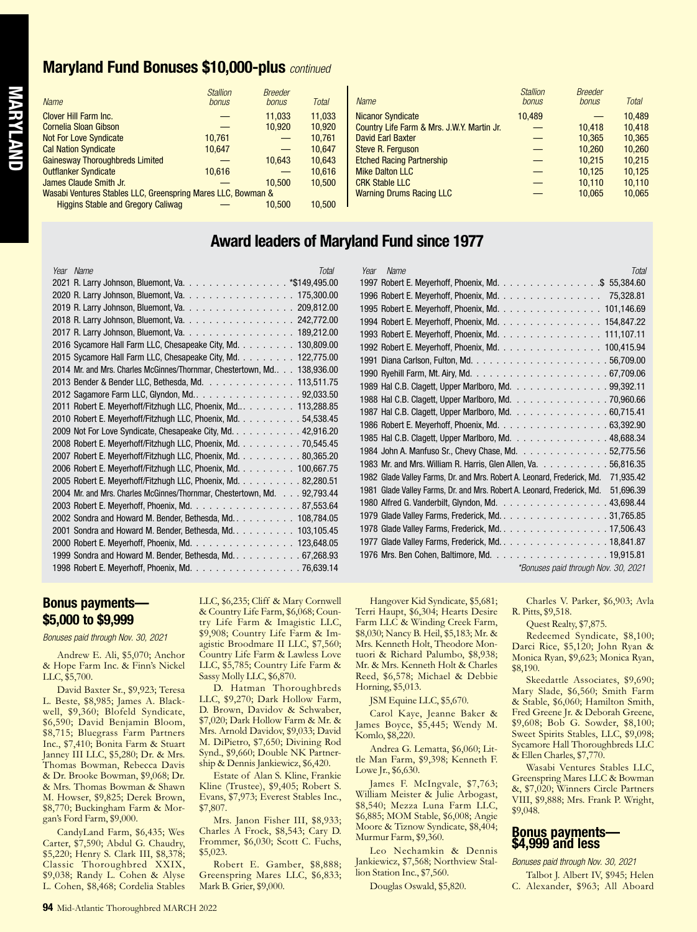#### **Maryland Fund Bonuses \$10,000-plus** *continued*

| <b>Name</b>                                                  | <b>Stallion</b><br>bonus | <b>Breeder</b><br>bonus         | <b>Total</b> | <b>Name</b>                                | <b>Stallion</b><br>bonus | <b>Breeder</b><br>bonus | <b>Total</b> |
|--------------------------------------------------------------|--------------------------|---------------------------------|--------------|--------------------------------------------|--------------------------|-------------------------|--------------|
| Clover Hill Farm Inc.                                        |                          | 11.033                          | 11.033       | Nicanor Syndicate                          | 10.489                   |                         | 10.489       |
| Cornelia Sloan Gibson                                        |                          | 10.920                          | 10.920       | Country Life Farm & Mrs. J.W.Y. Martin Jr. |                          | 10.418                  | 10.418       |
| <b>Not For Love Syndicate</b>                                | 10.761                   |                                 | 10.761       | <b>David Earl Baxter</b>                   |                          | 10.365                  | 10.365       |
| <b>Cal Nation Syndicate</b>                                  | 10.647                   | —                               | 10.647       | Steve R. Ferguson                          |                          | 10.260                  | 10,260       |
| <b>Gainesway Thoroughbreds Limited</b>                       |                          | 10.643                          | 10.643       | <b>Etched Racing Partnership</b>           |                          | 10.215                  | 10,215       |
| Outflanker Syndicate                                         | 10.616                   | —                               | 10.616       | <b>Mike Dalton LLC</b>                     |                          | 10.125                  | 10.125       |
| James Claude Smith Jr.                                       |                          | 10.500                          | 10.500       | <b>CRK Stable LLC</b>                      |                          | 10.110                  | 10.110       |
| Wasabi Ventures Stables LLC, Greenspring Mares LLC, Bowman & |                          | <b>Warning Drums Racing LLC</b> |              | 10.065                                     | 10.065                   |                         |              |
| <b>Higgins Stable and Gregory Caliwag</b>                    |                          | 10.500                          | 10.500       |                                            |                          |                         |              |

### **Award leaders of Maryland Fund since 1977**

| Year Name<br>Total                                                                                                              | <b>Tota</b><br>Year Name                                                             |
|---------------------------------------------------------------------------------------------------------------------------------|--------------------------------------------------------------------------------------|
| 2021 R. Larry Johnson, Bluemont, Va. * \$149,495.00                                                                             | 1997 Robert E. Meyerhoff, Phoenix, Md. \$ 55,384.60                                  |
| 2020 R. Larry Johnson, Bluemont, Va. 175,300.00                                                                                 | 1996 Robert E. Meyerhoff, Phoenix, Md. 75,328.81                                     |
| 2019 R. Larry Johnson, Bluemont, Va. 209,812.00                                                                                 | 1995 Robert E. Meyerhoff, Phoenix, Md. 101,146.69                                    |
| 2018 R. Larry Johnson, Bluemont, Va. 242,772.00                                                                                 | 1994 Robert E. Meyerhoff, Phoenix, Md. 154,847.22                                    |
| 2017 R. Larry Johnson, Bluemont, Va. 189,212.00                                                                                 | 1993 Robert E. Meyerhoff, Phoenix, Md. 111,107.11                                    |
| 2016 Sycamore Hall Farm LLC, Chesapeake City, Md. 130,809.00                                                                    | 1992 Robert E. Meyerhoff, Phoenix, Md. 100,415.94                                    |
| 2015 Sycamore Hall Farm LLC, Chesapeake City, Md. 122,775.00                                                                    |                                                                                      |
| 2014 Mr. and Mrs. Charles McGinnes/Thornmar, Chestertown, Md 138,936.00                                                         |                                                                                      |
| 2013 Bender & Bender LLC, Bethesda, Md. 113,511.75                                                                              | 1989 Hal C.B. Clagett, Upper Marlboro, Md. 99,392.11                                 |
| 2012 Sagamore Farm LLC, Glyndon, Md92,033.50                                                                                    | 1988 Hal C.B. Clagett, Upper Marlboro, Md. 70,960.66                                 |
| 2011 Robert E. Meyerhoff/Fitzhugh LLC, Phoenix, Md 113,288.85                                                                   | 1987 Hal C.B. Clagett, Upper Marlboro, Md. 60,715.41                                 |
| 2010 Robert E. Meyerhoff/Fitzhugh LLC, Phoenix, Md. 54,538.45                                                                   | 1986 Robert E. Meyerhoff, Phoenix, Md. 63,392.90                                     |
| 2009 Not For Love Syndicate, Chesapeake City, Md. 42,916.20                                                                     | 1985 Hal C.B. Clagett, Upper Marlboro, Md. 48,688.34                                 |
| 2008 Robert E. Meyerhoff/Fitzhugh LLC, Phoenix, Md. 70,545.45                                                                   | 1984 John A. Manfuso Sr., Chevy Chase, Md. 52,775.56                                 |
| 2007 Robert E. Meyerhoff/Fitzhugh LLC, Phoenix, Md. 80,365.20                                                                   | 1983 Mr. and Mrs. William R. Harris, Glen Allen, Va. 56,816.35                       |
| 2006 Robert E. Meyerhoff/Fitzhugh LLC, Phoenix, Md. 100,667.75<br>2005 Robert E. Meyerhoff/Fitzhugh LLC, Phoenix, Md. 82,280.51 | 1982 Glade Valley Farms, Dr. and Mrs. Robert A. Leonard, Frederick, Md. 71,935.42    |
|                                                                                                                                 | 1981 Glade Valley Farms, Dr. and Mrs. Robert A. Leonard, Frederick, Md.<br>51,696.39 |
| 2004 Mr. and Mrs. Charles McGinnes/Thornmar, Chestertown, Md. 92,793.44<br>2003 Robert E. Meyerhoff, Phoenix, Md. 87,553.64     | 1980 Alfred G. Vanderbilt, Glyndon, Md. 43,698.44                                    |
| 2002 Sondra and Howard M. Bender, Bethesda, Md. 108,784.05                                                                      | 1979 Glade Valley Farms, Frederick, Md. 31,765.85                                    |
| 2001 Sondra and Howard M. Bender, Bethesda, Md. 103,105.45                                                                      | 1978 Glade Valley Farms, Frederick, Md. 17,506.43                                    |
| 2000 Robert E. Meyerhoff, Phoenix, Md. 123,648.05                                                                               | 1977 Glade Valley Farms, Frederick, Md. 18,841.87                                    |
| 1999 Sondra and Howard M. Bender, Bethesda, Md. 67,268.93                                                                       |                                                                                      |
|                                                                                                                                 |                                                                                      |
| 1998 Robert E. Meyerhoff, Phoenix, Md. 76,639.14                                                                                | *Bonuses paid through Nov. 30, 2021                                                  |

#### **Bonus payments— \$5,000 to \$9,999**

*Bonuses paid through Nov. 30, 2021*

Andrew E. Ali, \$5,070; Anchor & Hope Farm Inc. & Finn's Nickel LLC, \$5,700.

David Baxter Sr., \$9,923; Teresa L. Beste, \$8,985; James A. Blackwell, \$9,360; Blofeld Syndicate, \$6,590; David Benjamin Bloom, \$8,715; Bluegrass Farm Partners Inc., \$7,410; Bonita Farm & Stuart Janney III LLC, \$5,280; Dr. & Mrs. Thomas Bowman, Rebecca Davis & Dr. Brooke Bowman, \$9,068; Dr. & Mrs. Thomas Bowman & Shawn M. Howser, \$9,825; Derek Brown, \$8,770; Buckingham Farm & Morgan's Ford Farm, \$9,000.

CandyLand Farm, \$6,435; Wes Carter, \$7,590; Abdul G. Chaudry, \$5,220; Henry S. Clark III, \$8,378; Classic Thoroughbred XXIX, \$9,038; Randy L. Cohen & Alyse L. Cohen, \$8,468; Cordelia Stables

LLC, \$6,235; Cliff & Mary Cornwell & Country Life Farm, \$6,068; Country Life Farm & Imagistic LLC, \$9,908; Country Life Farm & Imagistic Broodmare II LLC, \$7,560; Country Life Farm & Lawless Love LLC, \$5,785; Country Life Farm & Sassy Molly LLC, \$6,870.

D. Hatman Thoroughbreds LLC, \$9,270; Dark Hollow Farm, D. Brown, Davidov & Schwaber, \$7,020; Dark Hollow Farm & Mr. & Mrs. Arnold Davidov, \$9,033; David M. DiPietro, \$7,650; Divining Rod Synd., \$9,660; Double NK Partnership & Dennis Jankiewicz, \$6,420.

Estate of Alan S. Kline, Frankie Kline (Trustee), \$9,405; Robert S. Evans, \$7,973; Everest Stables Inc., \$7,807.

Mrs. Janon Fisher III, \$8,933; Charles A Frock, \$8,543; Cary D. Frommer, \$6,030; Scott C. Fuchs, \$5,023.

Robert E. Gamber, \$8,888; Greenspring Mares LLC, \$6,833; Mark B. Grier, \$9,000.

Hangover Kid Syndicate, \$5,681; Terri Haupt, \$6,304; Hearts Desire Farm LLC & Winding Creek Farm, \$8,030; Nancy B. Heil, \$5,183; Mr. & Mrs. Kenneth Holt, Theodore Montuori & Richard Palumbo, \$8,938; Mr. & Mrs. Kenneth Holt & Charles Reed, \$6,578; Michael & Debbie Horning, \$5,013.

JSM Equine LLC, \$5,670.

Carol Kaye, Jeanne Baker & James Boyce, \$5,445; Wendy M. Komlo, \$8,220.

Andrea G. Lematta, \$6,060; Little Man Farm, \$9,398; Kenneth F. Lowe Jr., \$6,630.

James F. McIngvale, \$7,763; William Meister & Julie Arbogast, \$8,540; Mezza Luna Farm LLC, \$6,885; MOM Stable, \$6,008; Angie Moore & Tiznow Syndicate, \$8,404; Murmur Farm, \$9,360.

Leo Nechamkin & Dennis Jankiewicz, \$7,568; Northview Stallion Station Inc., \$7,560.

Douglas Oswald, \$5,820.

Charles V. Parker, \$6,903; Avla R. Pitts, \$9,518.

Quest Realty, \$7,875.

Redeemed Syndicate, \$8,100; Darci Rice, \$5,120; John Ryan & Monica Ryan, \$9,623; Monica Ryan, \$8,190.

Skeedattle Associates, \$9,690; Mary Slade, \$6,560; Smith Farm & Stable, \$6,060; Hamilton Smith, Fred Greene Jr. & Deborah Greene, \$9,608; Bob G. Sowder, \$8,100; Sweet Spirits Stables, LLC, \$9,098; Sycamore Hall Thoroughbreds LLC & Ellen Charles, \$7,770.

Wasabi Ventures Stables LLC, Greenspring Mares LLC & Bowman &, \$7,020; Winners Circle Partners VIII, \$9,888; Mrs. Frank P. Wright, \$9,048.

#### **Bonus payments— \$4,999 and less**

*Bonuses paid through Nov. 30, 2021*

Talbot J. Albert IV, \$945; Helen C. Alexander, \$963; All Aboard